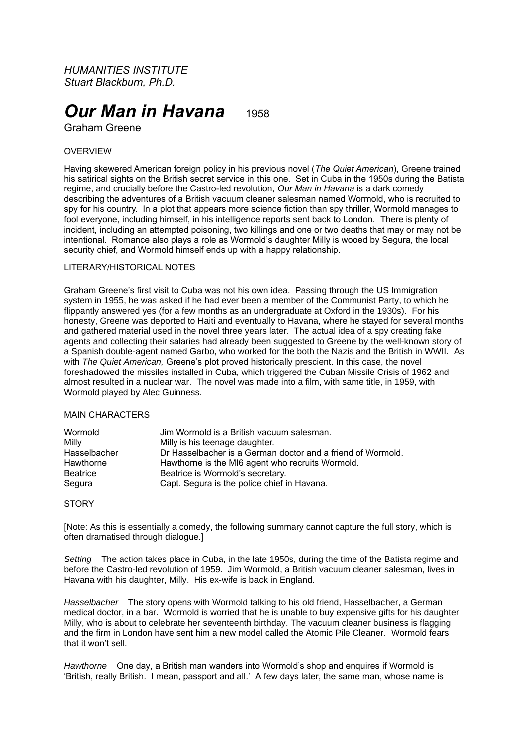*HUMANITIES INSTITUTE Stuart Blackburn, Ph.D.*

# *Our Man in Havana* 1958

Graham Greene

## **OVERVIEW**

Having skewered American foreign policy in his previous novel (*The Quiet American*), Greene trained his satirical sights on the British secret service in this one. Set in Cuba in the 1950s during the Batista regime, and crucially before the Castro-led revolution, *Our Man in Havana* is a dark comedy describing the adventures of a British vacuum cleaner salesman named Wormold, who is recruited to spy for his country. In a plot that appears more science fiction than spy thriller, Wormold manages to fool everyone, including himself, in his intelligence reports sent back to London. There is plenty of incident, including an attempted poisoning, two killings and one or two deaths that may or may not be intentional. Romance also plays a role as Wormold's daughter Milly is wooed by Segura, the local security chief, and Wormold himself ends up with a happy relationship.

### LITERARY/HISTORICAL NOTES

Graham Greene's first visit to Cuba was not his own idea. Passing through the US Immigration system in 1955, he was asked if he had ever been a member of the Communist Party, to which he flippantly answered yes (for a few months as an undergraduate at Oxford in the 1930s). For his honesty, Greene was deported to Haiti and eventually to Havana, where he stayed for several months and gathered material used in the novel three years later. The actual idea of a spy creating fake agents and collecting their salaries had already been suggested to Greene by the well-known story of a Spanish double-agent named Garbo, who worked for the both the Nazis and the British in WWII. As with *The Quiet American,* Greene's plot proved historically prescient. In this case, the novel foreshadowed the missiles installed in Cuba, which triggered the Cuban Missile Crisis of 1962 and almost resulted in a nuclear war. The novel was made into a film, with same title, in 1959, with Wormold played by Alec Guinness.

#### MAIN CHARACTERS

| Wormold         | Jim Wormold is a British vacuum salesman.                   |
|-----------------|-------------------------------------------------------------|
| Milly           | Milly is his teenage daughter.                              |
| Hasselbacher    | Dr Hasselbacher is a German doctor and a friend of Wormold. |
| Hawthorne       | Hawthorne is the MI6 agent who recruits Wormold.            |
| <b>Beatrice</b> | Beatrice is Wormold's secretary.                            |
| Segura          | Capt. Segura is the police chief in Havana.                 |

#### **STORY**

[Note: As this is essentially a comedy, the following summary cannot capture the full story, which is often dramatised through dialogue.]

*Setting* The action takes place in Cuba, in the late 1950s, during the time of the Batista regime and before the Castro-led revolution of 1959. Jim Wormold, a British vacuum cleaner salesman, lives in Havana with his daughter, Milly. His ex-wife is back in England.

*Hasselbacher* The story opens with Wormold talking to his old friend, Hasselbacher, a German medical doctor, in a bar. Wormold is worried that he is unable to buy expensive gifts for his daughter Milly, who is about to celebrate her seventeenth birthday. The vacuum cleaner business is flagging and the firm in London have sent him a new model called the Atomic Pile Cleaner. Wormold fears that it won't sell.

*Hawthorne* One day, a British man wanders into Wormold's shop and enquires if Wormold is 'British, really British. I mean, passport and all.' A few days later, the same man, whose name is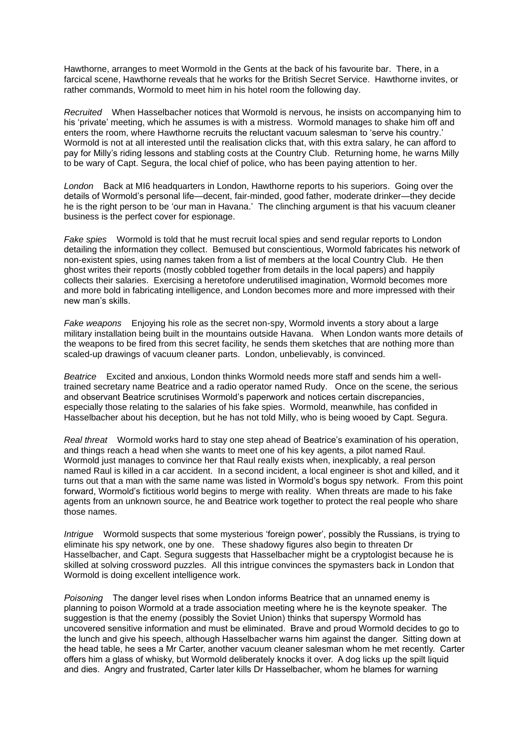Hawthorne, arranges to meet Wormold in the Gents at the back of his favourite bar. There, in a farcical scene, Hawthorne reveals that he works for the British Secret Service. Hawthorne invites, or rather commands, Wormold to meet him in his hotel room the following day.

*Recruited* When Hasselbacher notices that Wormold is nervous, he insists on accompanying him to his 'private' meeting, which he assumes is with a mistress. Wormold manages to shake him off and enters the room, where Hawthorne recruits the reluctant vacuum salesman to 'serve his country.' Wormold is not at all interested until the realisation clicks that, with this extra salary, he can afford to pay for Milly's riding lessons and stabling costs at the Country Club. Returning home, he warns Milly to be wary of Capt. Segura, the local chief of police, who has been paying attention to her.

*London* Back at MI6 headquarters in London, Hawthorne reports to his superiors. Going over the details of Wormold's personal life—decent, fair-minded, good father, moderate drinker—they decide he is the right person to be 'our man in Havana.' The clinching argument is that his vacuum cleaner business is the perfect cover for espionage.

*Fake spies* Wormold is told that he must recruit local spies and send regular reports to London detailing the information they collect. Bemused but conscientious, Wormold fabricates his network of non-existent spies, using names taken from a list of members at the local Country Club. He then ghost writes their reports (mostly cobbled together from details in the local papers) and happily collects their salaries. Exercising a heretofore underutilised imagination, Wormold becomes more and more bold in fabricating intelligence, and London becomes more and more impressed with their new man's skills.

*Fake weapons* Enjoying his role as the secret non-spy, Wormold invents a story about a large military installation being built in the mountains outside Havana. When London wants more details of the weapons to be fired from this secret facility, he sends them sketches that are nothing more than scaled-up drawings of vacuum cleaner parts. London, unbelievably, is convinced.

*Beatrice* Excited and anxious, London thinks Wormold needs more staff and sends him a welltrained secretary name Beatrice and a radio operator named Rudy. Once on the scene, the serious and observant Beatrice scrutinises Wormold's paperwork and notices certain discrepancies, especially those relating to the salaries of his fake spies. Wormold, meanwhile, has confided in Hasselbacher about his deception, but he has not told Milly, who is being wooed by Capt. Segura.

*Real threat* Wormold works hard to stay one step ahead of Beatrice's examination of his operation, and things reach a head when she wants to meet one of his key agents, a pilot named Raul. Wormold just manages to convince her that Raul really exists when, inexplicably, a real person named Raul is killed in a car accident. In a second incident, a local engineer is shot and killed, and it turns out that a man with the same name was listed in Wormold's bogus spy network. From this point forward, Wormold's fictitious world begins to merge with reality. When threats are made to his fake agents from an unknown source, he and Beatrice work together to protect the real people who share those names.

*Intrigue* Wormold suspects that some mysterious 'foreign power', possibly the Russians, is trying to eliminate his spy network, one by one. These shadowy figures also begin to threaten Dr Hasselbacher, and Capt. Segura suggests that Hasselbacher might be a cryptologist because he is skilled at solving crossword puzzles. All this intrigue convinces the spymasters back in London that Wormold is doing excellent intelligence work.

*Poisoning* The danger level rises when London informs Beatrice that an unnamed enemy is planning to poison Wormold at a trade association meeting where he is the keynote speaker. The suggestion is that the enemy (possibly the Soviet Union) thinks that superspy Wormold has uncovered sensitive information and must be eliminated. Brave and proud Wormold decides to go to the lunch and give his speech, although Hasselbacher warns him against the danger. Sitting down at the head table, he sees a Mr Carter, another vacuum cleaner salesman whom he met recently. Carter offers him a glass of whisky, but Wormold deliberately knocks it over. A dog licks up the spilt liquid and dies. Angry and frustrated, Carter later kills Dr Hasselbacher, whom he blames for warning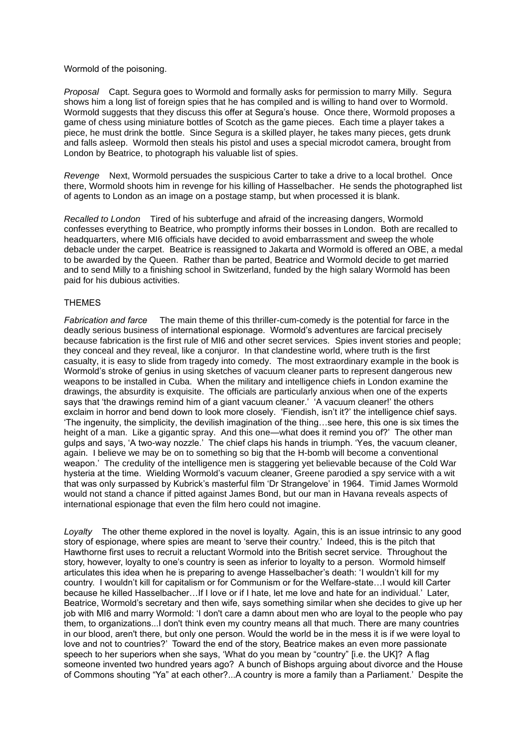#### Wormold of the poisoning.

*Proposal* Capt. Segura goes to Wormold and formally asks for permission to marry Milly. Segura shows him a long list of foreign spies that he has compiled and is willing to hand over to Wormold. Wormold suggests that they discuss this offer at Segura's house. Once there, Wormold proposes a game of chess using miniature bottles of Scotch as the game pieces. Each time a player takes a piece, he must drink the bottle. Since Segura is a skilled player, he takes many pieces, gets drunk and falls asleep. Wormold then steals his pistol and uses a special microdot camera, brought from London by Beatrice, to photograph his valuable list of spies.

*Revenge* Next, Wormold persuades the suspicious Carter to take a drive to a local brothel. Once there, Wormold shoots him in revenge for his killing of Hasselbacher. He sends the photographed list of agents to London as an image on a postage stamp, but when processed it is blank.

*Recalled to London* Tired of his subterfuge and afraid of the increasing dangers, Wormold confesses everything to Beatrice, who promptly informs their bosses in London. Both are recalled to headquarters, where MI6 officials have decided to avoid embarrassment and sweep the whole debacle under the carpet. Beatrice is reassigned to Jakarta and Wormold is offered an OBE, a medal to be awarded by the Queen. Rather than be parted, Beatrice and Wormold decide to get married and to send Milly to a finishing school in Switzerland, funded by the high salary Wormold has been paid for his dubious activities.

#### **THEMES**

*Fabrication and farce* The main theme of this thriller-cum-comedy is the potential for farce in the deadly serious business of international espionage. Wormold's adventures are farcical precisely because fabrication is the first rule of MI6 and other secret services. Spies invent stories and people; they conceal and they reveal, like a conjuror. In that clandestine world, where truth is the first casualty, it is easy to slide from tragedy into comedy. The most extraordinary example in the book is Wormold's stroke of genius in using sketches of vacuum cleaner parts to represent dangerous new weapons to be installed in Cuba. When the military and intelligence chiefs in London examine the drawings, the absurdity is exquisite. The officials are particularly anxious when one of the experts says that 'the drawings remind him of a giant vacuum cleaner.' 'A vacuum cleaner!' the others exclaim in horror and bend down to look more closely. 'Fiendish, isn't it?' the intelligence chief says. 'The ingenuity, the simplicity, the devilish imagination of the thing…see here, this one is six times the height of a man. Like a gigantic spray. And this one—what does it remind you of?' The other man gulps and says, 'A two-way nozzle.' The chief claps his hands in triumph. 'Yes, the vacuum cleaner, again. I believe we may be on to something so big that the H-bomb will become a conventional weapon.' The credulity of the intelligence men is staggering yet believable because of the Cold War hysteria at the time. Wielding Wormold's vacuum cleaner, Greene parodied a spy service with a wit that was only surpassed by Kubrick's masterful film 'Dr Strangelove' in 1964. Timid James Wormold would not stand a chance if pitted against James Bond, but our man in Havana reveals aspects of international espionage that even the film hero could not imagine.

*Loyalty* The other theme explored in the novel is loyalty. Again, this is an issue intrinsic to any good story of espionage, where spies are meant to 'serve their country.' Indeed, this is the pitch that Hawthorne first uses to recruit a reluctant Wormold into the British secret service. Throughout the story, however, loyalty to one's country is seen as inferior to loyalty to a person. Wormold himself articulates this idea when he is preparing to avenge Hasselbacher's death: 'I wouldn't kill for my country. I wouldn't kill for capitalism or for Communism or for the Welfare-state…I would kill Carter because he killed Hasselbacher…If I love or if I hate, let me love and hate for an individual.' Later, Beatrice, Wormold's secretary and then wife, says something similar when she decides to give up her job with MI6 and marry Wormold: 'I don't care a damn about men who are loyal to the people who pay them, to organizations...I don't think even my country means all that much. There are many countries in our blood, aren't there, but only one person. Would the world be in the mess it is if we were loyal to love and not to countries?' Toward the end of the story, Beatrice makes an even more passionate speech to her superiors when she says, 'What do you mean by "country" [i.e. the UK]? A flag someone invented two hundred years ago? A bunch of Bishops arguing about divorce and the House of Commons shouting "Ya" at each other?...A country is more a family than a Parliament.' Despite the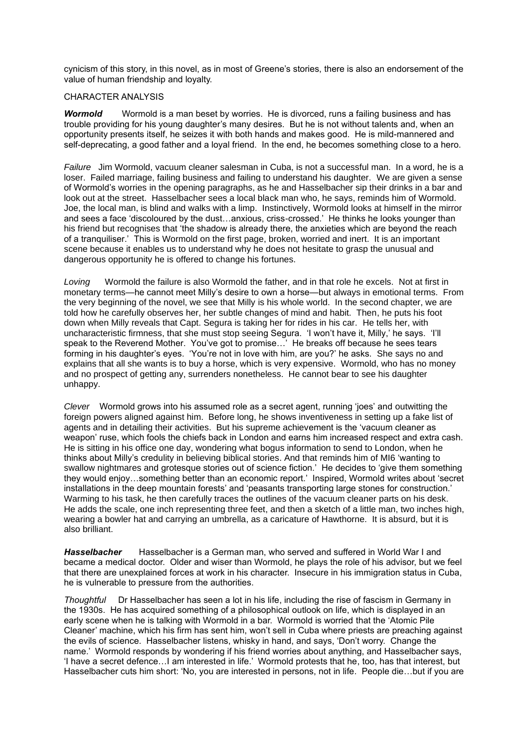cynicism of this story, in this novel, as in most of Greene's stories, there is also an endorsement of the value of human friendship and loyalty.

#### CHARACTER ANALYSIS

**Wormold** Wormold is a man beset by worries. He is divorced, runs a failing business and has trouble providing for his young daughter's many desires. But he is not without talents and, when an opportunity presents itself, he seizes it with both hands and makes good. He is mild-mannered and self-deprecating, a good father and a loyal friend. In the end, he becomes something close to a hero.

*Failure* Jim Wormold, vacuum cleaner salesman in Cuba, is not a successful man. In a word, he is a loser. Failed marriage, failing business and failing to understand his daughter. We are given a sense of Wormold's worries in the opening paragraphs, as he and Hasselbacher sip their drinks in a bar and look out at the street. Hasselbacher sees a local black man who, he says, reminds him of Wormold. Joe, the local man, is blind and walks with a limp. Instinctively, Wormold looks at himself in the mirror and sees a face 'discoloured by the dust…anxious, criss-crossed.' He thinks he looks younger than his friend but recognises that 'the shadow is already there, the anxieties which are beyond the reach of a tranquiliser.' This is Wormold on the first page, broken, worried and inert. It is an important scene because it enables us to understand why he does not hesitate to grasp the unusual and dangerous opportunity he is offered to change his fortunes.

*Loving* Wormold the failure is also Wormold the father, and in that role he excels. Not at first in monetary terms—he cannot meet Milly's desire to own a horse—but always in emotional terms. From the very beginning of the novel, we see that Milly is his whole world. In the second chapter, we are told how he carefully observes her, her subtle changes of mind and habit. Then, he puts his foot down when Milly reveals that Capt. Segura is taking her for rides in his car. He tells her, with uncharacteristic firmness, that she must stop seeing Segura. 'I won't have it, Milly,' he says. 'I'll speak to the Reverend Mother. You've got to promise…' He breaks off because he sees tears forming in his daughter's eyes. 'You're not in love with him, are you?' he asks. She says no and explains that all she wants is to buy a horse, which is very expensive. Wormold, who has no money and no prospect of getting any, surrenders nonetheless. He cannot bear to see his daughter unhappy.

*Clever* Wormold grows into his assumed role as a secret agent, running 'joes' and outwitting the foreign powers aligned against him. Before long, he shows inventiveness in setting up a fake list of agents and in detailing their activities. But his supreme achievement is the 'vacuum cleaner as weapon' ruse, which fools the chiefs back in London and earns him increased respect and extra cash. He is sitting in his office one day, wondering what bogus information to send to London, when he thinks about Milly's credulity in believing biblical stories. And that reminds him of MI6 'wanting to swallow nightmares and grotesque stories out of science fiction.' He decides to 'give them something they would enjoy…something better than an economic report.' Inspired, Wormold writes about 'secret installations in the deep mountain forests' and 'peasants transporting large stones for construction.' Warming to his task, he then carefully traces the outlines of the vacuum cleaner parts on his desk. He adds the scale, one inch representing three feet, and then a sketch of a little man, two inches high, wearing a bowler hat and carrying an umbrella, as a caricature of Hawthorne. It is absurd, but it is also brilliant.

*Hasselbacher* Hasselbacher is a German man, who served and suffered in World War I and became a medical doctor. Older and wiser than Wormold, he plays the role of his advisor, but we feel that there are unexplained forces at work in his character. Insecure in his immigration status in Cuba, he is vulnerable to pressure from the authorities.

*Thoughtful* Dr Hasselbacher has seen a lot in his life, including the rise of fascism in Germany in the 1930s. He has acquired something of a philosophical outlook on life, which is displayed in an early scene when he is talking with Wormold in a bar. Wormold is worried that the 'Atomic Pile Cleaner' machine, which his firm has sent him, won't sell in Cuba where priests are preaching against the evils of science. Hasselbacher listens, whisky in hand, and says, 'Don't worry. Change the name.' Wormold responds by wondering if his friend worries about anything, and Hasselbacher says, 'I have a secret defence…I am interested in life.' Wormold protests that he, too, has that interest, but Hasselbacher cuts him short: 'No, you are interested in persons, not in life. People die…but if you are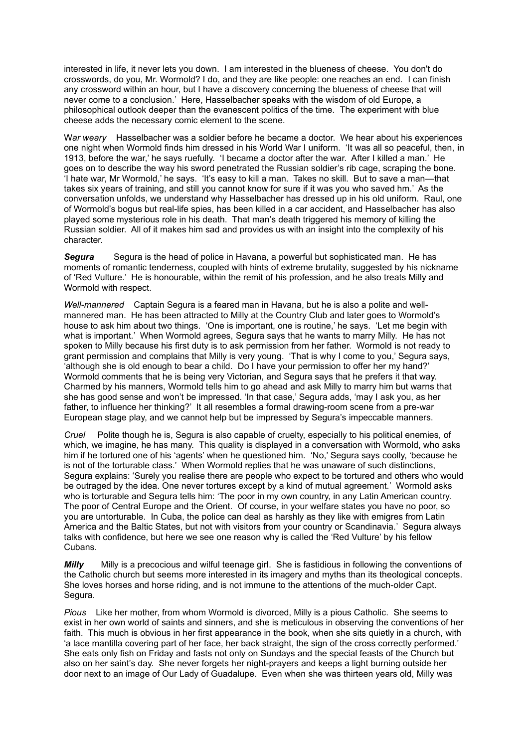interested in life, it never lets you down. I am interested in the blueness of cheese. You don't do crosswords, do you, Mr. Wormold? I do, and they are like people: one reaches an end. I can finish any crossword within an hour, but I have a discovery concerning the blueness of cheese that will never come to a conclusion.' Here, Hasselbacher speaks with the wisdom of old Europe, a philosophical outlook deeper than the evanescent politics of the time. The experiment with blue cheese adds the necessary comic element to the scene.

W*ar weary* Hasselbacher was a soldier before he became a doctor. We hear about his experiences one night when Wormold finds him dressed in his World War I uniform. 'It was all so peaceful, then, in 1913, before the war,' he says ruefully. 'I became a doctor after the war. After I killed a man.' He goes on to describe the way his sword penetrated the Russian soldier's rib cage, scraping the bone. 'I hate war, Mr Wormold,' he says. 'It's easy to kill a man. Takes no skill. But to save a man—that takes six years of training, and still you cannot know for sure if it was you who saved hm.' As the conversation unfolds, we understand why Hasselbacher has dressed up in his old uniform. Raul, one of Wormold's bogus but real-life spies, has been killed in a car accident, and Hasselbacher has also played some mysterious role in his death. That man's death triggered his memory of killing the Russian soldier. All of it makes him sad and provides us with an insight into the complexity of his character.

*Segura* Segura is the head of police in Havana, a powerful but sophisticated man. He has moments of romantic tenderness, coupled with hints of extreme brutality, suggested by his nickname of 'Red Vulture.' He is honourable, within the remit of his profession, and he also treats Milly and Wormold with respect.

*Well-mannered* Captain Segura is a feared man in Havana, but he is also a polite and wellmannered man. He has been attracted to Milly at the Country Club and later goes to Wormold's house to ask him about two things. 'One is important, one is routine,' he says. 'Let me begin with what is important.' When Wormold agrees, Segura says that he wants to marry Milly. He has not spoken to Milly because his first duty is to ask permission from her father. Wormold is not ready to grant permission and complains that Milly is very young. 'That is why I come to you,' Segura says, 'although she is old enough to bear a child. Do I have your permission to offer her my hand?' Wormold comments that he is being very Victorian, and Segura says that he prefers it that way. Charmed by his manners, Wormold tells him to go ahead and ask Milly to marry him but warns that she has good sense and won't be impressed. 'In that case,' Segura adds, 'may I ask you, as her father, to influence her thinking?' It all resembles a formal drawing-room scene from a pre-war European stage play, and we cannot help but be impressed by Segura's impeccable manners.

*Cruel* Polite though he is, Segura is also capable of cruelty, especially to his political enemies, of which, we imagine, he has many. This quality is displayed in a conversation with Wormold, who asks him if he tortured one of his 'agents' when he questioned him. 'No,' Segura says coolly, 'because he is not of the torturable class.' When Wormold replies that he was unaware of such distinctions, Segura explains: 'Surely you realise there are people who expect to be tortured and others who would be outraged by the idea. One never tortures except by a kind of mutual agreement.' Wormold asks who is torturable and Segura tells him: 'The poor in my own country, in any Latin American country. The poor of Central Europe and the Orient. Of course, in your welfare states you have no poor, so you are untorturable. In Cuba, the police can deal as harshly as they like with emigres from Latin America and the Baltic States, but not with visitors from your country or Scandinavia.' Segura always talks with confidence, but here we see one reason why is called the 'Red Vulture' by his fellow Cubans.

*Milly* Milly is a precocious and wilful teenage girl. She is fastidious in following the conventions of the Catholic church but seems more interested in its imagery and myths than its theological concepts. She loves horses and horse riding, and is not immune to the attentions of the much-older Capt. Segura.

*Pious* Like her mother, from whom Wormold is divorced, Milly is a pious Catholic. She seems to exist in her own world of saints and sinners, and she is meticulous in observing the conventions of her faith. This much is obvious in her first appearance in the book, when she sits quietly in a church, with 'a lace mantilla covering part of her face, her back straight, the sign of the cross correctly performed.' She eats only fish on Friday and fasts not only on Sundays and the special feasts of the Church but also on her saint's day. She never forgets her night-prayers and keeps a light burning outside her door next to an image of Our Lady of Guadalupe. Even when she was thirteen years old, Milly was